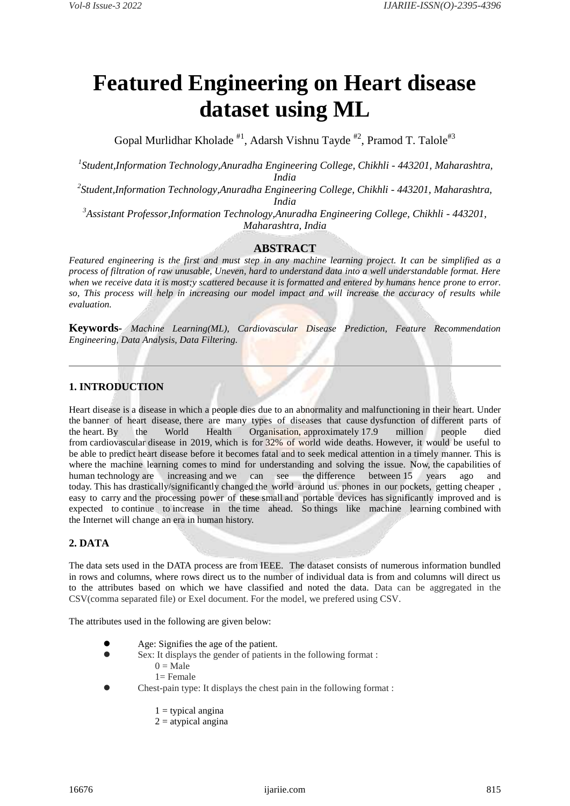# **Featured Engineering on Heart disease dataset using ML**

Gopal Murlidhar Kholade  $*1$ , Adarsh Vishnu Tayde  $*2$ , Pramod T. Talole<sup>#3</sup>

*1 Student,Information Technology,Anuradha Engineering College, Chikhli - 443201, Maharashtra, India*

*2 Student,Information Technology,Anuradha Engineering College, Chikhli - 443201, Maharashtra, India*

*<sup>3</sup>Assistant Professor,Information Technology,Anuradha Engineering College, Chikhli - 443201, Maharashtra, India*

# **ABSTRACT**

*Featured engineering is the first and must step in any machine learning project. It can be simplified as a process of filtration of raw unusable, Uneven, hard to understand data into a well understandable format. Here when we receive data it is most;y scattered because it is formatted and entered by humans hence prone to error. so, This process will help in increasing our model impact and will increase the accuracy of results while evaluation.*

**Keywords***- Machine Learning(ML), Cardiovascular Disease Prediction, Feature Recommendation Engineering, Data Analysis, Data Filtering.*

# **1. INTRODUCTION**

Heart disease is a disease in which a people dies due to an abnormality and malfunctioning in their heart. Under the banner of heart disease, there are many types of diseases that cause dysfunction of different parts of the heart. By the World Health Organisation, approximately 17.9 million people died from cardiovascular disease in 2019, which is for 32% of world wide deaths. However, it would be useful to be able to predict heart disease before it becomes fatal and to seek medical attention in a timely manner. This is where the machine learning comes to mind for understanding and solving the issue. Now, the capabilities of human technology are increasing and we can see the difference between 15 years ago and human technology are increasing and we can see the difference between 15 years ago and today. This has drastically/significantly changed the world around us. phones in our pockets, getting cheaper , easy to carry and the processing power of these small and portable devices has significantly improved and is expected to continue to increase in the time ahead. So things like machine learning combined with the Internet will change an era in human history.

# **2. DATA**

The data sets used in the DATA process are from IEEE. The dataset consists of numerous information bundled in rows and columns, where rows direct us to the number of individual data is from and columns will direct us to the attributes based on which we have classified and noted the data. Data can be aggregated in the CSV(comma separated file) or Exel document. For the model, we prefered using CSV.

The attributes used in the following are given below:

- Age: Signifies the age of the patient.
	- Sex: It displays the gender of patients in the following format :  $0 = Male$ 
		- 1= Female
- Chest-pain type: It displays the chest pain in the following format :
	- $1 =$  typical angina
	- $2 =$ atypical angina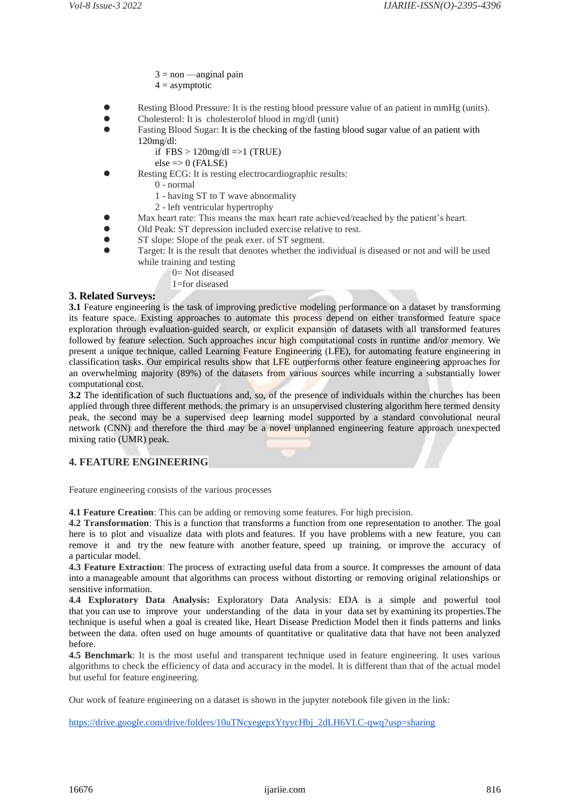- $3 = non$  —anginal pain
- $4 =$  asymptotic
- Resting Blood Pressure: It is the resting blood pressure value of an patient in mmHg (units).
- Cholesterol: It is cholesterolof blood in mg/dl (unit)
- Fasting Blood Sugar: It is the checking of the fasting blood sugar value of an patient with 120mg/dl:
	- if  $FBS > 120$ mg/dl =>1 (TRUE)
	- $else => 0$  (FALSE)
- Resting ECG: It is resting electrocardiographic results:
	- 0 normal
	- 1 having ST to T wave abnormality
	- 2 left ventricular hypertrophy
- Max heart rate: This means the max heart rate achieved/reached by the patient's heart.
- Old Peak: ST depression included exercise relative to rest.
- ST slope: Slope of the peak exer. of ST segment.
- Target: It is the result that denotes whether the individual is diseased or not and will be used while training and testing
	- 0= Not diseased
	- 1=for diseased

### **3. Related Surveys:**

**3.1** Feature engineering is the task of improving predictive modeling performance on a dataset by transforming its feature space. Existing approaches to automate this process depend on either transformed feature space exploration through evaluation-guided search, or explicit expansion of datasets with all transformed features followed by feature selection. Such approaches incur high computational costs in runtime and/or memory. We present a unique technique, called Learning Feature Engineering (LFE), for automating feature engineering in classification tasks. Our empirical results show that LFE outperforms other feature engineering approaches for an overwhelming majority (89%) of the datasets from various sources while incurring a substantially lower computational cost.

**3.2** The identification of such fluctuations and, so, of the presence of individuals within the churches has been applied through three different methods. the primary is an unsupervised clustering algorithm here termed density peak, the second may be a supervised deep learning model supported by a standard convolutional neural network (CNN) and therefore the third may be a novel unplanned engineering feature approach unexpected mixing ratio (UMR) peak.

# **4. FEATURE ENGINEERING**

Feature engineering consists of the various processes

**4.1 Feature Creation**: This can be adding or removing some features. For high precision.

**4.2 Transformation**: This is a function that transforms a function from one representation to another. The goal here is to plot and visualize data with plots and features. If you have problems with a new feature, you can remove it and try the new feature with another feature, speed up training, or improve the accuracy of a particular model.

**4.3 Feature Extraction**: The process of extracting useful data from a source. It compresses the amount of data into a manageable amount that algorithms can process without distorting or removing original relationships or sensitive information.

**4.4 Exploratory Data Analysis:** Exploratory Data Analysis: EDA is a simple and powerful tool that you can use to improve your understanding of the data in your data set by examining its properties.The technique is useful when a goal is created like, Heart Disease Prediction Model then it finds patterns and links between the data. often used on huge amounts of quantitative or qualitative data that have not been analyzed before.

**4.5 Benchmark**: It is the most useful and transparent technique used in feature engineering. It uses various algorithms to check the efficiency of data and accuracy in the model. It is different than that of the actual model but useful for feature engineering.

Our work of feature engineering on a dataset is shown in the jupyter notebook file given in the link:

[https://drive.google.com/drive/folders/10uTNcyegepxYtyycHbj\\_2dLH6VLC-qwq?usp=sharing](https://drive.google.com/drive/folders/10uTNcyegepxYtyycHbj_2dLH6VLC-qwq?usp=sharing)

16676 ijariie.com 816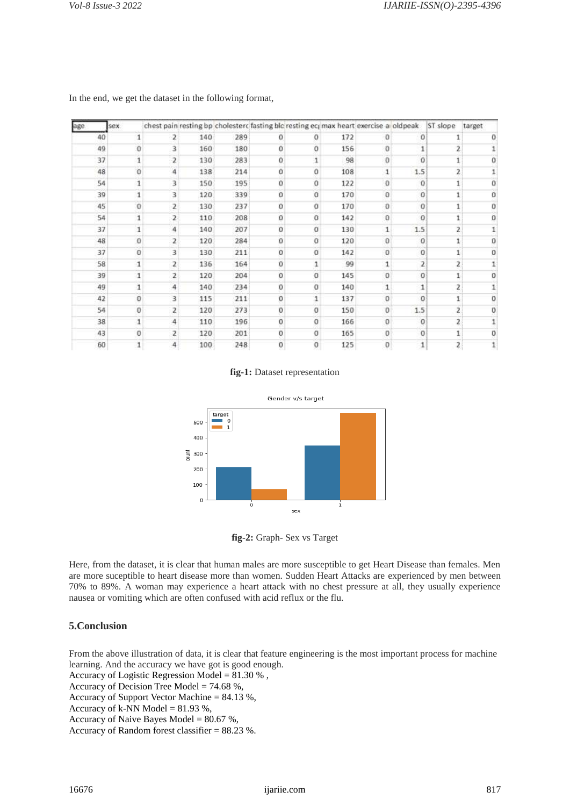| age |    | sex |              |     |     |                | chest pain resting bp cholesterc fasting blc resting ecrimax heart exercise a oldpeak |     |                  |              | ST slope      | target       |
|-----|----|-----|--------------|-----|-----|----------------|---------------------------------------------------------------------------------------|-----|------------------|--------------|---------------|--------------|
|     | 40 |     |              | 140 | 289 | 0              | 0                                                                                     | 172 | o                | Ű            |               |              |
|     | 49 | 0   | 3            | 160 | 180 | $\alpha$       | o                                                                                     | 156 | $\Omega$         | 1            | 2             |              |
|     | 37 | 1   | 2            | 130 | 283 | $\alpha$       |                                                                                       | 98  | 0                | Ö            |               |              |
|     | 48 | o   | 4            | 138 | 214 | o              | 0                                                                                     | 108 | 1                | 1.5          | 2             |              |
|     | 54 | 1   | 3            | 150 | 195 | Û              | 0                                                                                     | 122 | 0                | 0            |               |              |
|     | 39 | 1   | 3            | 120 | 339 | Ü              | Ű                                                                                     | 170 | $\theta$         | 0            |               | Ū            |
|     | 45 | o   | $\mathbf{z}$ | 130 | 237 | $\bf{0}$       | Ű                                                                                     | 170 | 0                | 0            |               | 0            |
|     | 54 | 1   | 2            | 110 | 208 | 0              | Ű                                                                                     | 142 | 0                | 0            |               | 0            |
|     | 37 | 1   | 4            | 140 | 207 | $\overline{0}$ | 0                                                                                     | 130 | 1                | 1.5          | 2             |              |
|     | 48 | 0   | 2            | 120 | 284 | $\Omega$       | 0                                                                                     | 120 | 0                | 0            | 1             | 0            |
|     | 37 | o   | 3            | 130 | 211 | 0              | 0                                                                                     | 142 | 0                | 0            | 1             | 0            |
|     | 58 | 1   | 2            | 136 | 164 | O              |                                                                                       | 99  | 1                | 2            | 2             |              |
|     | 39 | 1   | 2            | 120 | 204 | $\overline{0}$ | $\sigma$                                                                              | 145 | 0                | 0            | $\mathbbm{1}$ | 0            |
|     | 49 | 1   | 4            | 140 | 234 | $\bf{0}$       | 0                                                                                     | 140 | 1                | 1            | 2             |              |
|     | 42 | 0   | 3            | 115 | 211 | $\mathbf{0}$   | 1                                                                                     | 137 | $\theta$         | $\alpha$     |               | Ū.           |
|     | 54 | 0   | 2            | 120 | 273 | $\bf{0}$       | 0                                                                                     | 150 | 0                | 1.5          | 2             | O.           |
|     | 38 | 1   | 4            | 110 | 196 | $\bf{0}$       | 0                                                                                     | 166 | 0                | $\circ$      | 2             | 1            |
|     | 43 | 0   | 2            | 120 | 201 | $\bf{0}$       | 0                                                                                     | 165 | 0                | 0            |               | Ū.           |
|     | 60 | 1   | 4            | 100 | 248 | $\mathbf 0$    | 0                                                                                     | 125 | $\boldsymbol{0}$ | $\mathbf{1}$ | 2             | $\mathbf{1}$ |

In the end, we get the dataset in the following format,

#### **fig-1:** Dataset representation



**fig-2:** Graph- Sex vs Target

Here, from the dataset, it is clear that human males are more susceptible to get Heart Disease than females. Men are more suceptible to heart disease more than women. Sudden Heart Attacks are experienced by men between 70% to 89%. A woman may experience a heart attack with no chest pressure at all, they usually experience nausea or vomiting which are often confused with acid reflux or the flu.

# **5.Conclusion**

From the above illustration of data, it is clear that feature engineering is the most important process for machine learning. And the accuracy we have got is good enough.

Accuracy of Logistic Regression Model = 81.30 % ,

Accuracy of Decision Tree Model = 74.68 %,

Accuracy of Support Vector Machine = 84.13 %,

Accuracy of k-NN Model  $= 81.93 %$ ,

Accuracy of Naive Bayes Model =  $80.67$  %,

Accuracy of Random forest classifier = 88.23 %.